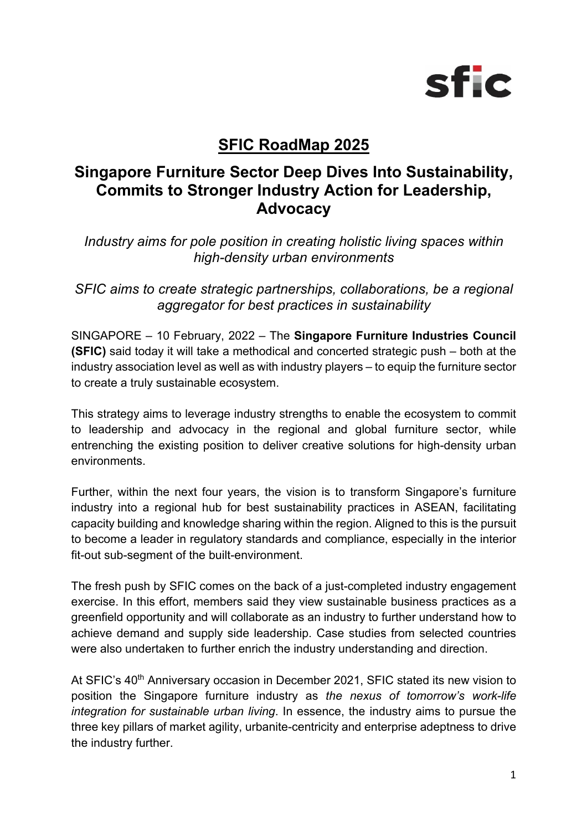

# **SFIC RoadMap 2025**

# **Singapore Furniture Sector Deep Dives Into Sustainability, Commits to Stronger Industry Action for Leadership, Advocacy**

*Industry aims for pole position in creating holistic living spaces within high-density urban environments*

*SFIC aims to create strategic partnerships, collaborations, be a regional aggregator for best practices in sustainability* 

SINGAPORE – 10 February, 2022 – The **Singapore Furniture Industries Council (SFIC)** said today it will take a methodical and concerted strategic push – both at the industry association level as well as with industry players – to equip the furniture sector to create a truly sustainable ecosystem.

This strategy aims to leverage industry strengths to enable the ecosystem to commit to leadership and advocacy in the regional and global furniture sector, while entrenching the existing position to deliver creative solutions for high-density urban environments.

Further, within the next four years, the vision is to transform Singapore's furniture industry into a regional hub for best sustainability practices in ASEAN, facilitating capacity building and knowledge sharing within the region. Aligned to this is the pursuit to become a leader in regulatory standards and compliance, especially in the interior fit-out sub-segment of the built-environment.

The fresh push by SFIC comes on the back of a just-completed industry engagement exercise. In this effort, members said they view sustainable business practices as a greenfield opportunity and will collaborate as an industry to further understand how to achieve demand and supply side leadership. Case studies from selected countries were also undertaken to further enrich the industry understanding and direction.

At SFIC's 40<sup>th</sup> Anniversary occasion in December 2021, SFIC stated its new vision to position the Singapore furniture industry as *the nexus of tomorrow's work-life integration for sustainable urban living*. In essence, the industry aims to pursue the three key pillars of market agility, urbanite-centricity and enterprise adeptness to drive the industry further.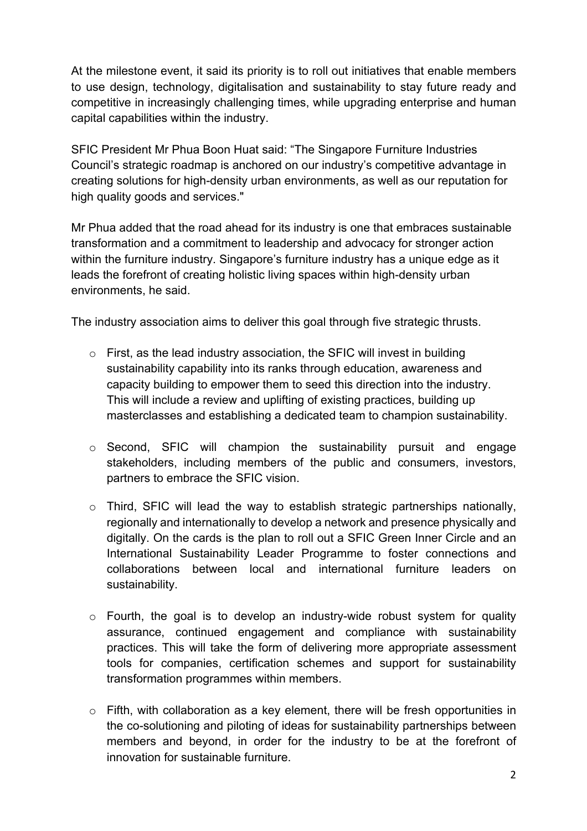At the milestone event, it said its priority is to roll out initiatives that enable members to use design, technology, digitalisation and sustainability to stay future ready and competitive in increasingly challenging times, while upgrading enterprise and human capital capabilities within the industry.

SFIC President Mr Phua Boon Huat said: "The Singapore Furniture Industries Council's strategic roadmap is anchored on our industry's competitive advantage in creating solutions for high-density urban environments, as well as our reputation for high quality goods and services."

Mr Phua added that the road ahead for its industry is one that embraces sustainable transformation and a commitment to leadership and advocacy for stronger action within the furniture industry. Singapore's furniture industry has a unique edge as it leads the forefront of creating holistic living spaces within high-density urban environments, he said.

The industry association aims to deliver this goal through five strategic thrusts.

- o First, as the lead industry association, the SFIC will invest in building sustainability capability into its ranks through education, awareness and capacity building to empower them to seed this direction into the industry. This will include a review and uplifting of existing practices, building up masterclasses and establishing a dedicated team to champion sustainability.
- o Second, SFIC will champion the sustainability pursuit and engage stakeholders, including members of the public and consumers, investors, partners to embrace the SFIC vision.
- $\circ$  Third, SFIC will lead the way to establish strategic partnerships nationally, regionally and internationally to develop a network and presence physically and digitally. On the cards is the plan to roll out a SFIC Green Inner Circle and an International Sustainability Leader Programme to foster connections and collaborations between local and international furniture leaders on sustainability.
- o Fourth, the goal is to develop an industry-wide robust system for quality assurance, continued engagement and compliance with sustainability practices. This will take the form of delivering more appropriate assessment tools for companies, certification schemes and support for sustainability transformation programmes within members.
- o Fifth, with collaboration as a key element, there will be fresh opportunities in the co-solutioning and piloting of ideas for sustainability partnerships between members and beyond, in order for the industry to be at the forefront of innovation for sustainable furniture.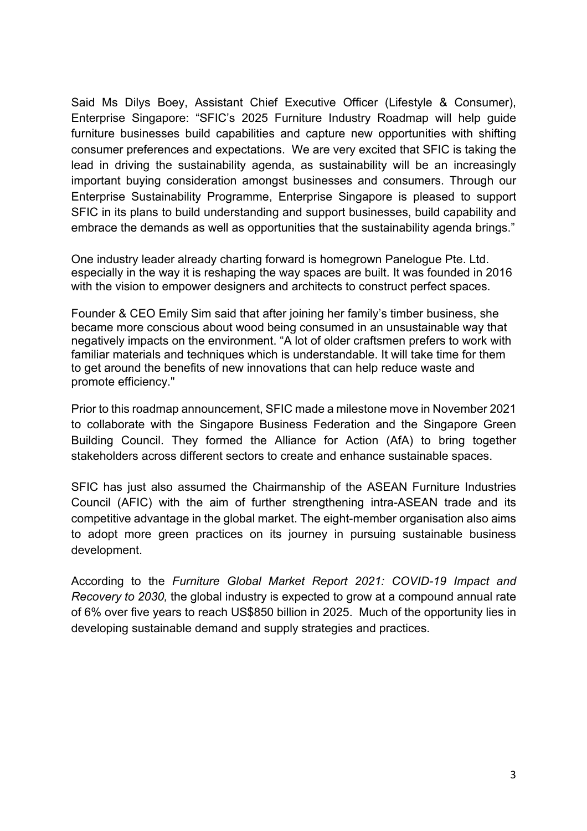Said Ms Dilys Boey, Assistant Chief Executive Officer (Lifestyle & Consumer), Enterprise Singapore: "SFIC's 2025 Furniture Industry Roadmap will help guide furniture businesses build capabilities and capture new opportunities with shifting consumer preferences and expectations. We are very excited that SFIC is taking the lead in driving the sustainability agenda, as sustainability will be an increasingly important buying consideration amongst businesses and consumers. Through our Enterprise Sustainability Programme, Enterprise Singapore is pleased to support SFIC in its plans to build understanding and support businesses, build capability and embrace the demands as well as opportunities that the sustainability agenda brings."

One industry leader already charting forward is homegrown Panelogue Pte. Ltd. especially in the way it is reshaping the way spaces are built. It was founded in 2016 with the vision to empower designers and architects to construct perfect spaces.

Founder & CEO Emily Sim said that after joining her family's timber business, she became more conscious about wood being consumed in an unsustainable way that negatively impacts on the environment. "A lot of older craftsmen prefers to work with familiar materials and techniques which is understandable. It will take time for them to get around the benefits of new innovations that can help reduce waste and promote efficiency."

Prior to this roadmap announcement, SFIC made a milestone move in November 2021 to collaborate with the Singapore Business Federation and the Singapore Green Building Council. They formed the Alliance for Action (AfA) to bring together stakeholders across different sectors to create and enhance sustainable spaces.

SFIC has just also assumed the Chairmanship of the ASEAN Furniture Industries Council (AFIC) with the aim of further strengthening intra-ASEAN trade and its competitive advantage in the global market. The eight-member organisation also aims to adopt more green practices on its journey in pursuing sustainable business development.

According to the *Furniture Global Market Report 2021: COVID-19 Impact and Recovery to 2030,* the global industry is expected to grow at a compound annual rate of 6% over five years to reach US\$850 billion in 2025. Much of the opportunity lies in developing sustainable demand and supply strategies and practices.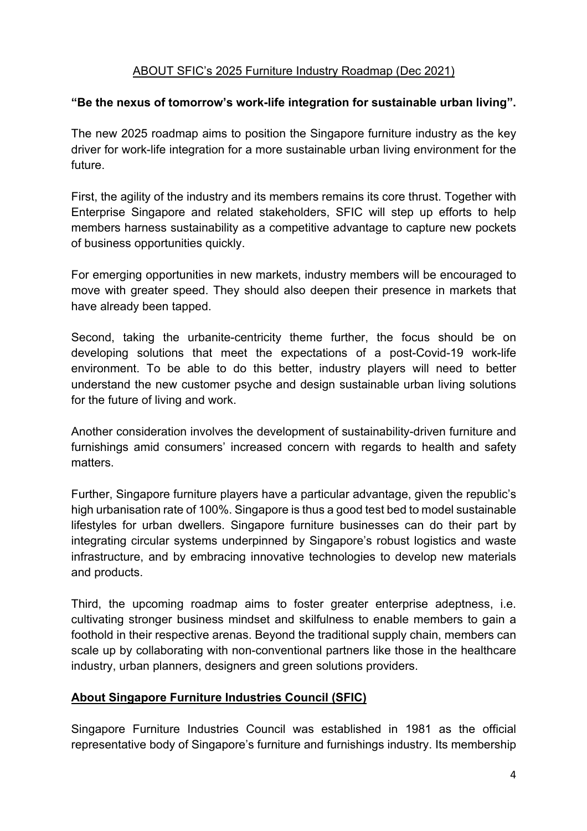### ABOUT SFIC's 2025 Furniture Industry Roadmap (Dec 2021)

### **"Be the nexus of tomorrow's work-life integration for sustainable urban living".**

The new 2025 roadmap aims to position the Singapore furniture industry as the key driver for work-life integration for a more sustainable urban living environment for the future.

First, the agility of the industry and its members remains its core thrust. Together with Enterprise Singapore and related stakeholders, SFIC will step up efforts to help members harness sustainability as a competitive advantage to capture new pockets of business opportunities quickly.

For emerging opportunities in new markets, industry members will be encouraged to move with greater speed. They should also deepen their presence in markets that have already been tapped.

Second, taking the urbanite-centricity theme further, the focus should be on developing solutions that meet the expectations of a post-Covid-19 work-life environment. To be able to do this better, industry players will need to better understand the new customer psyche and design sustainable urban living solutions for the future of living and work.

Another consideration involves the development of sustainability-driven furniture and furnishings amid consumers' increased concern with regards to health and safety matters.

Further, Singapore furniture players have a particular advantage, given the republic's high urbanisation rate of 100%. Singapore is thus a good test bed to model sustainable lifestyles for urban dwellers. Singapore furniture businesses can do their part by integrating circular systems underpinned by Singapore's robust logistics and waste infrastructure, and by embracing innovative technologies to develop new materials and products.

Third, the upcoming roadmap aims to foster greater enterprise adeptness, i.e. cultivating stronger business mindset and skilfulness to enable members to gain a foothold in their respective arenas. Beyond the traditional supply chain, members can scale up by collaborating with non-conventional partners like those in the healthcare industry, urban planners, designers and green solutions providers.

#### **About Singapore Furniture Industries Council (SFIC)**

Singapore Furniture Industries Council was established in 1981 as the official representative body of Singapore's furniture and furnishings industry. Its membership